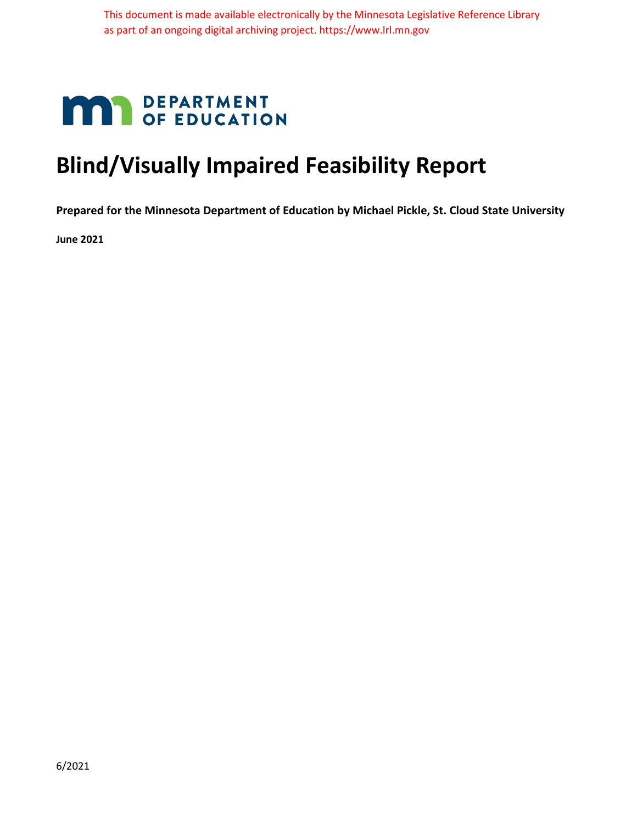# **MAY DEPARTMENT**

## **Blind/Visually Impaired Feasibility Report**

**Prepared for the Minnesota Department of Education by Michael Pickle, St. Cloud State University**

**June 2021**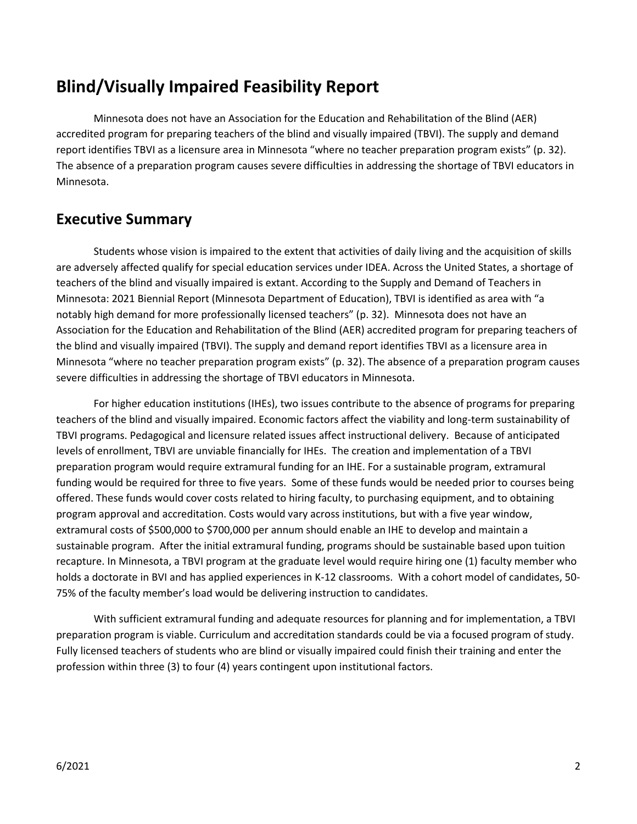## **Blind/Visually Impaired Feasibility Report**

Minnesota does not have an Association for the Education and Rehabilitation of the Blind (AER) accredited program for preparing teachers of the blind and visually impaired (TBVI). The supply and demand report identifies TBVI as a licensure area in Minnesota "where no teacher preparation program exists" (p. 32). The absence of a preparation program causes severe difficulties in addressing the shortage of TBVI educators in Minnesota.

## **Executive Summary**

Students whose vision is impaired to the extent that activities of daily living and the acquisition of skills are adversely affected qualify for special education services under IDEA. Across the United States, a shortage of teachers of the blind and visually impaired is extant. According to the Supply and Demand of Teachers in Minnesota: 2021 Biennial Report (Minnesota Department of Education), TBVI is identified as area with "a notably high demand for more professionally licensed teachers" (p. 32). Minnesota does not have an Association for the Education and Rehabilitation of the Blind (AER) accredited program for preparing teachers of the blind and visually impaired (TBVI). The supply and demand report identifies TBVI as a licensure area in Minnesota "where no teacher preparation program exists" (p. 32). The absence of a preparation program causes severe difficulties in addressing the shortage of TBVI educators in Minnesota.

For higher education institutions (IHEs), two issues contribute to the absence of programs for preparing teachers of the blind and visually impaired. Economic factors affect the viability and long-term sustainability of TBVI programs. Pedagogical and licensure related issues affect instructional delivery. Because of anticipated levels of enrollment, TBVI are unviable financially for IHEs. The creation and implementation of a TBVI preparation program would require extramural funding for an IHE. For a sustainable program, extramural funding would be required for three to five years. Some of these funds would be needed prior to courses being offered. These funds would cover costs related to hiring faculty, to purchasing equipment, and to obtaining program approval and accreditation. Costs would vary across institutions, but with a five year window, extramural costs of \$500,000 to \$700,000 per annum should enable an IHE to develop and maintain a sustainable program. After the initial extramural funding, programs should be sustainable based upon tuition recapture. In Minnesota, a TBVI program at the graduate level would require hiring one (1) faculty member who holds a doctorate in BVI and has applied experiences in K-12 classrooms. With a cohort model of candidates, 50- 75% of the faculty member's load would be delivering instruction to candidates.

With sufficient extramural funding and adequate resources for planning and for implementation, a TBVI preparation program is viable. Curriculum and accreditation standards could be via a focused program of study. Fully licensed teachers of students who are blind or visually impaired could finish their training and enter the profession within three (3) to four (4) years contingent upon institutional factors.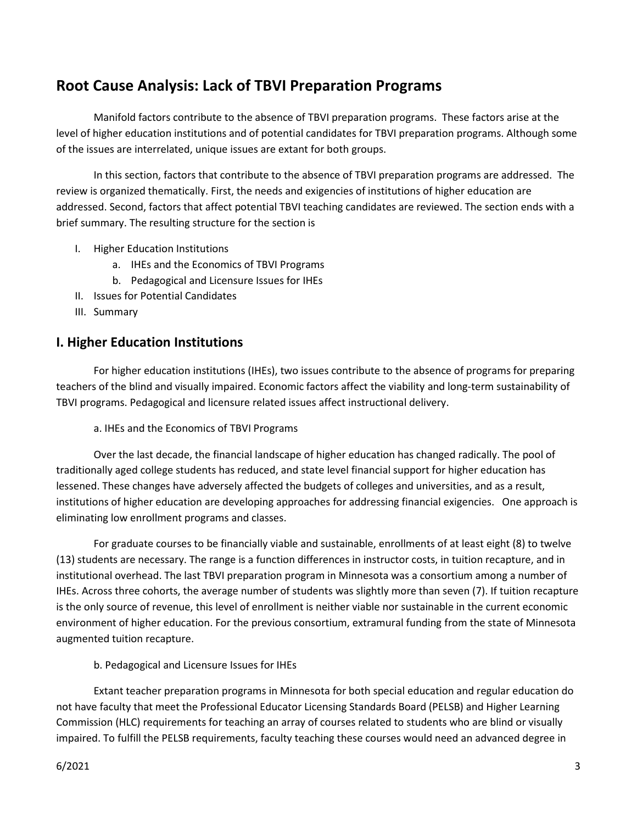## **Root Cause Analysis: Lack of TBVI Preparation Programs**

Manifold factors contribute to the absence of TBVI preparation programs. These factors arise at the level of higher education institutions and of potential candidates for TBVI preparation programs. Although some of the issues are interrelated, unique issues are extant for both groups.

In this section, factors that contribute to the absence of TBVI preparation programs are addressed. The review is organized thematically. First, the needs and exigencies of institutions of higher education are addressed. Second, factors that affect potential TBVI teaching candidates are reviewed. The section ends with a brief summary. The resulting structure for the section is

- I. Higher Education Institutions
	- a. IHEs and the Economics of TBVI Programs
	- b. Pedagogical and Licensure Issues for IHEs
- II. Issues for Potential Candidates
- III. Summary

#### **I. Higher Education Institutions**

For higher education institutions (IHEs), two issues contribute to the absence of programs for preparing teachers of the blind and visually impaired. Economic factors affect the viability and long-term sustainability of TBVI programs. Pedagogical and licensure related issues affect instructional delivery.

a. IHEs and the Economics of TBVI Programs

Over the last decade, the financial landscape of higher education has changed radically. The pool of traditionally aged college students has reduced, and state level financial support for higher education has lessened. These changes have adversely affected the budgets of colleges and universities, and as a result, institutions of higher education are developing approaches for addressing financial exigencies. One approach is eliminating low enrollment programs and classes.

For graduate courses to be financially viable and sustainable, enrollments of at least eight (8) to twelve (13) students are necessary. The range is a function differences in instructor costs, in tuition recapture, and in institutional overhead. The last TBVI preparation program in Minnesota was a consortium among a number of IHEs. Across three cohorts, the average number of students was slightly more than seven (7). If tuition recapture is the only source of revenue, this level of enrollment is neither viable nor sustainable in the current economic environment of higher education. For the previous consortium, extramural funding from the state of Minnesota augmented tuition recapture.

#### b. Pedagogical and Licensure Issues for IHEs

Extant teacher preparation programs in Minnesota for both special education and regular education do not have faculty that meet the Professional Educator Licensing Standards Board (PELSB) and Higher Learning Commission (HLC) requirements for teaching an array of courses related to students who are blind or visually impaired. To fulfill the PELSB requirements, faculty teaching these courses would need an advanced degree in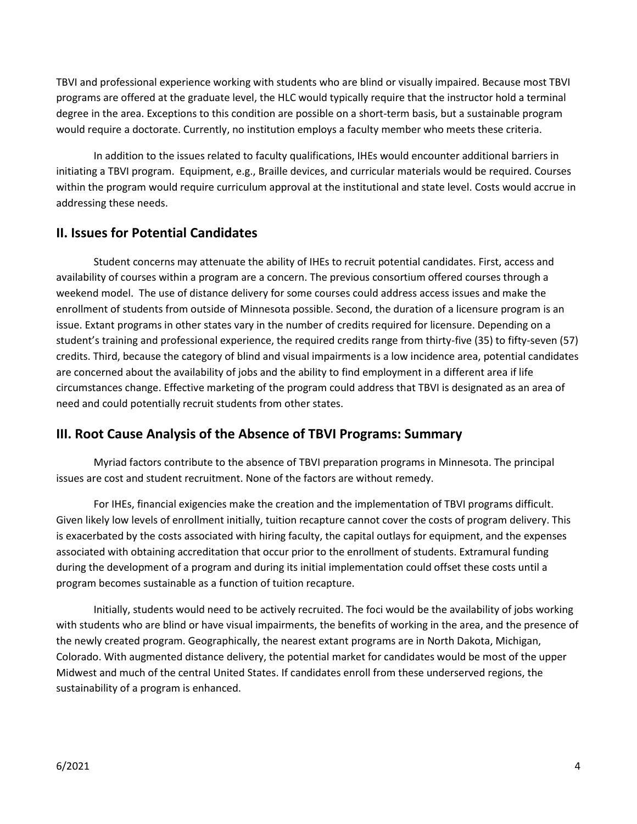TBVI and professional experience working with students who are blind or visually impaired. Because most TBVI programs are offered at the graduate level, the HLC would typically require that the instructor hold a terminal degree in the area. Exceptions to this condition are possible on a short-term basis, but a sustainable program would require a doctorate. Currently, no institution employs a faculty member who meets these criteria.

In addition to the issues related to faculty qualifications, IHEs would encounter additional barriers in initiating a TBVI program. Equipment, e.g., Braille devices, and curricular materials would be required. Courses within the program would require curriculum approval at the institutional and state level. Costs would accrue in addressing these needs.

#### **II. Issues for Potential Candidates**

Student concerns may attenuate the ability of IHEs to recruit potential candidates. First, access and availability of courses within a program are a concern. The previous consortium offered courses through a weekend model. The use of distance delivery for some courses could address access issues and make the enrollment of students from outside of Minnesota possible. Second, the duration of a licensure program is an issue. Extant programs in other states vary in the number of credits required for licensure. Depending on a student's training and professional experience, the required credits range from thirty-five (35) to fifty-seven (57) credits. Third, because the category of blind and visual impairments is a low incidence area, potential candidates are concerned about the availability of jobs and the ability to find employment in a different area if life circumstances change. Effective marketing of the program could address that TBVI is designated as an area of need and could potentially recruit students from other states.

#### **III. Root Cause Analysis of the Absence of TBVI Programs: Summary**

Myriad factors contribute to the absence of TBVI preparation programs in Minnesota. The principal issues are cost and student recruitment. None of the factors are without remedy.

For IHEs, financial exigencies make the creation and the implementation of TBVI programs difficult. Given likely low levels of enrollment initially, tuition recapture cannot cover the costs of program delivery. This is exacerbated by the costs associated with hiring faculty, the capital outlays for equipment, and the expenses associated with obtaining accreditation that occur prior to the enrollment of students. Extramural funding during the development of a program and during its initial implementation could offset these costs until a program becomes sustainable as a function of tuition recapture.

Initially, students would need to be actively recruited. The foci would be the availability of jobs working with students who are blind or have visual impairments, the benefits of working in the area, and the presence of the newly created program. Geographically, the nearest extant programs are in North Dakota, Michigan, Colorado. With augmented distance delivery, the potential market for candidates would be most of the upper Midwest and much of the central United States. If candidates enroll from these underserved regions, the sustainability of a program is enhanced.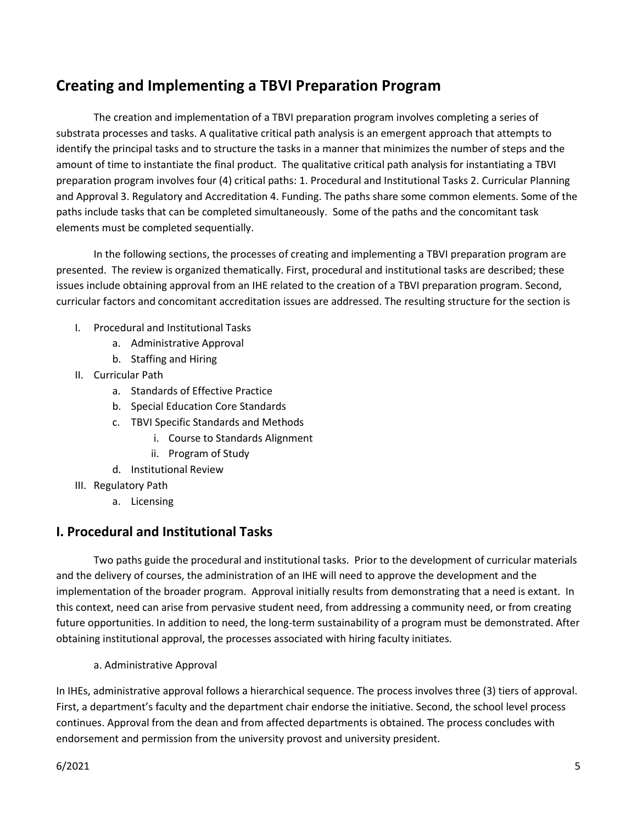## **Creating and Implementing a TBVI Preparation Program**

The creation and implementation of a TBVI preparation program involves completing a series of substrata processes and tasks. A qualitative critical path analysis is an emergent approach that attempts to identify the principal tasks and to structure the tasks in a manner that minimizes the number of steps and the amount of time to instantiate the final product. The qualitative critical path analysis for instantiating a TBVI preparation program involves four (4) critical paths: 1. Procedural and Institutional Tasks 2. Curricular Planning and Approval 3. Regulatory and Accreditation 4. Funding. The paths share some common elements. Some of the paths include tasks that can be completed simultaneously. Some of the paths and the concomitant task elements must be completed sequentially.

In the following sections, the processes of creating and implementing a TBVI preparation program are presented. The review is organized thematically. First, procedural and institutional tasks are described; these issues include obtaining approval from an IHE related to the creation of a TBVI preparation program. Second, curricular factors and concomitant accreditation issues are addressed. The resulting structure for the section is

- I. Procedural and Institutional Tasks
	- a. Administrative Approval
	- b. Staffing and Hiring
- II. Curricular Path
	- a. Standards of Effective Practice
	- b. Special Education Core Standards
	- c. TBVI Specific Standards and Methods
		- i. Course to Standards Alignment
		- ii. Program of Study
	- d. Institutional Review
- III. Regulatory Path
	- a. Licensing

## **I. Procedural and Institutional Tasks**

Two paths guide the procedural and institutional tasks. Prior to the development of curricular materials and the delivery of courses, the administration of an IHE will need to approve the development and the implementation of the broader program. Approval initially results from demonstrating that a need is extant. In this context, need can arise from pervasive student need, from addressing a community need, or from creating future opportunities. In addition to need, the long-term sustainability of a program must be demonstrated. After obtaining institutional approval, the processes associated with hiring faculty initiates.

a. Administrative Approval

In IHEs, administrative approval follows a hierarchical sequence. The process involves three (3) tiers of approval. First, a department's faculty and the department chair endorse the initiative. Second, the school level process continues. Approval from the dean and from affected departments is obtained. The process concludes with endorsement and permission from the university provost and university president.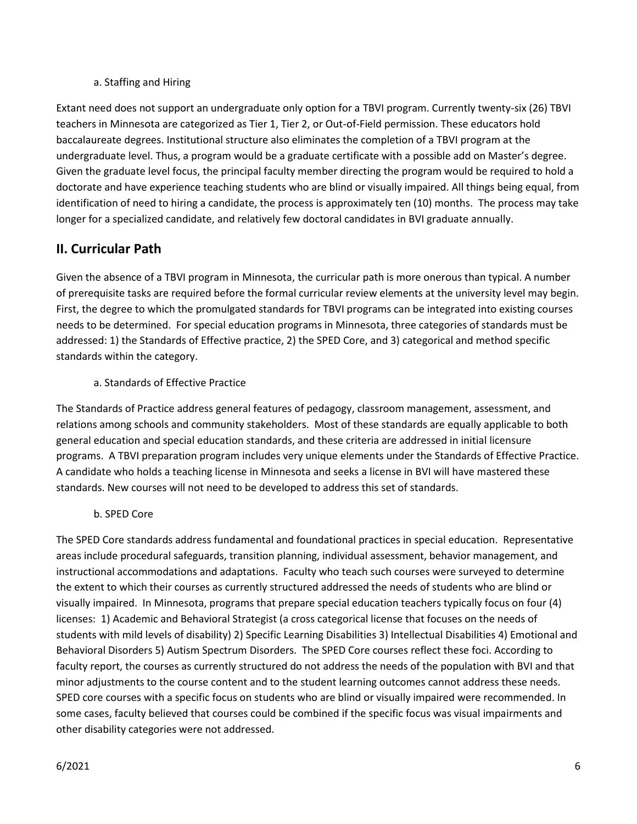#### a. Staffing and Hiring

Extant need does not support an undergraduate only option for a TBVI program. Currently twenty-six (26) TBVI teachers in Minnesota are categorized as Tier 1, Tier 2, or Out-of-Field permission. These educators hold baccalaureate degrees. Institutional structure also eliminates the completion of a TBVI program at the undergraduate level. Thus, a program would be a graduate certificate with a possible add on Master's degree. Given the graduate level focus, the principal faculty member directing the program would be required to hold a doctorate and have experience teaching students who are blind or visually impaired. All things being equal, from identification of need to hiring a candidate, the process is approximately ten (10) months. The process may take longer for a specialized candidate, and relatively few doctoral candidates in BVI graduate annually.

## **II. Curricular Path**

Given the absence of a TBVI program in Minnesota, the curricular path is more onerous than typical. A number of prerequisite tasks are required before the formal curricular review elements at the university level may begin. First, the degree to which the promulgated standards for TBVI programs can be integrated into existing courses needs to be determined. For special education programs in Minnesota, three categories of standards must be addressed: 1) the Standards of Effective practice, 2) the SPED Core, and 3) categorical and method specific standards within the category.

#### a. Standards of Effective Practice

The Standards of Practice address general features of pedagogy, classroom management, assessment, and relations among schools and community stakeholders. Most of these standards are equally applicable to both general education and special education standards, and these criteria are addressed in initial licensure programs. A TBVI preparation program includes very unique elements under the Standards of Effective Practice. A candidate who holds a teaching license in Minnesota and seeks a license in BVI will have mastered these standards. New courses will not need to be developed to address this set of standards.

b. SPED Core

The SPED Core standards address fundamental and foundational practices in special education. Representative areas include procedural safeguards, transition planning, individual assessment, behavior management, and instructional accommodations and adaptations. Faculty who teach such courses were surveyed to determine the extent to which their courses as currently structured addressed the needs of students who are blind or visually impaired. In Minnesota, programs that prepare special education teachers typically focus on four (4) licenses: 1) Academic and Behavioral Strategist (a cross categorical license that focuses on the needs of students with mild levels of disability) 2) Specific Learning Disabilities 3) Intellectual Disabilities 4) Emotional and Behavioral Disorders 5) Autism Spectrum Disorders. The SPED Core courses reflect these foci. According to faculty report, the courses as currently structured do not address the needs of the population with BVI and that minor adjustments to the course content and to the student learning outcomes cannot address these needs. SPED core courses with a specific focus on students who are blind or visually impaired were recommended. In some cases, faculty believed that courses could be combined if the specific focus was visual impairments and other disability categories were not addressed.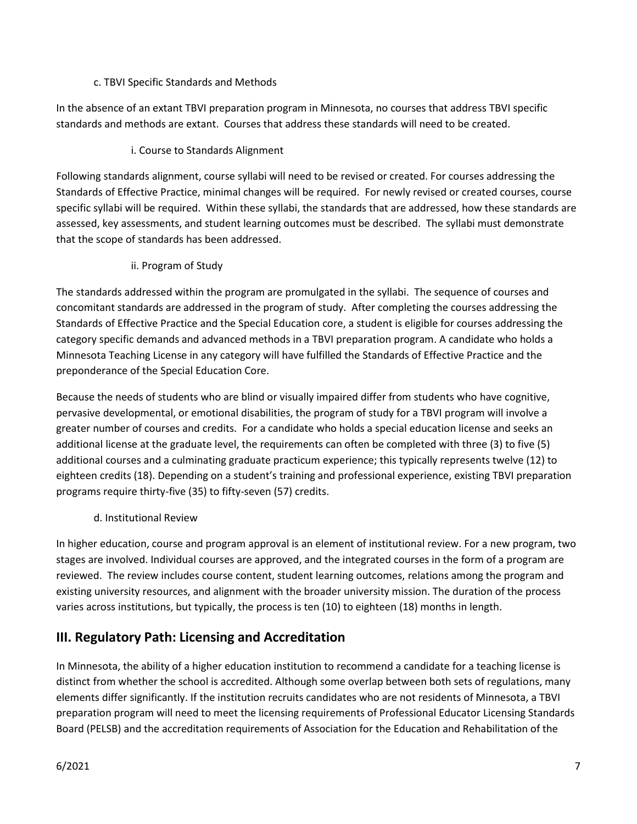#### c. TBVI Specific Standards and Methods

In the absence of an extant TBVI preparation program in Minnesota, no courses that address TBVI specific standards and methods are extant. Courses that address these standards will need to be created.

#### i. Course to Standards Alignment

Following standards alignment, course syllabi will need to be revised or created. For courses addressing the Standards of Effective Practice, minimal changes will be required. For newly revised or created courses, course specific syllabi will be required. Within these syllabi, the standards that are addressed, how these standards are assessed, key assessments, and student learning outcomes must be described. The syllabi must demonstrate that the scope of standards has been addressed.

#### ii. Program of Study

The standards addressed within the program are promulgated in the syllabi. The sequence of courses and concomitant standards are addressed in the program of study. After completing the courses addressing the Standards of Effective Practice and the Special Education core, a student is eligible for courses addressing the category specific demands and advanced methods in a TBVI preparation program. A candidate who holds a Minnesota Teaching License in any category will have fulfilled the Standards of Effective Practice and the preponderance of the Special Education Core.

Because the needs of students who are blind or visually impaired differ from students who have cognitive, pervasive developmental, or emotional disabilities, the program of study for a TBVI program will involve a greater number of courses and credits. For a candidate who holds a special education license and seeks an additional license at the graduate level, the requirements can often be completed with three (3) to five (5) additional courses and a culminating graduate practicum experience; this typically represents twelve (12) to eighteen credits (18). Depending on a student's training and professional experience, existing TBVI preparation programs require thirty-five (35) to fifty-seven (57) credits.

#### d. Institutional Review

In higher education, course and program approval is an element of institutional review. For a new program, two stages are involved. Individual courses are approved, and the integrated courses in the form of a program are reviewed. The review includes course content, student learning outcomes, relations among the program and existing university resources, and alignment with the broader university mission. The duration of the process varies across institutions, but typically, the process is ten (10) to eighteen (18) months in length.

## **III. Regulatory Path: Licensing and Accreditation**

In Minnesota, the ability of a higher education institution to recommend a candidate for a teaching license is distinct from whether the school is accredited. Although some overlap between both sets of regulations, many elements differ significantly. If the institution recruits candidates who are not residents of Minnesota, a TBVI preparation program will need to meet the licensing requirements of Professional Educator Licensing Standards Board (PELSB) and the accreditation requirements of Association for the Education and Rehabilitation of the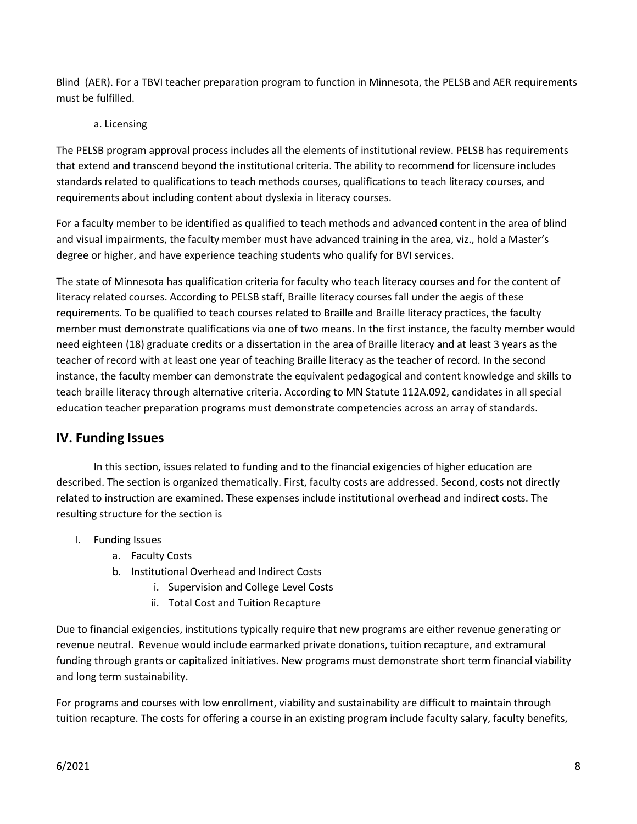Blind (AER). For a TBVI teacher preparation program to function in Minnesota, the PELSB and AER requirements must be fulfilled.

#### a. Licensing

The PELSB program approval process includes all the elements of institutional review. PELSB has requirements that extend and transcend beyond the institutional criteria. The ability to recommend for licensure includes standards related to qualifications to teach methods courses, qualifications to teach literacy courses, and requirements about including content about dyslexia in literacy courses.

For a faculty member to be identified as qualified to teach methods and advanced content in the area of blind and visual impairments, the faculty member must have advanced training in the area, viz., hold a Master's degree or higher, and have experience teaching students who qualify for BVI services.

The state of Minnesota has qualification criteria for faculty who teach literacy courses and for the content of literacy related courses. According to PELSB staff, Braille literacy courses fall under the aegis of these requirements. To be qualified to teach courses related to Braille and Braille literacy practices, the faculty member must demonstrate qualifications via one of two means. In the first instance, the faculty member would need eighteen (18) graduate credits or a dissertation in the area of Braille literacy and at least 3 years as the teacher of record with at least one year of teaching Braille literacy as the teacher of record. In the second instance, the faculty member can demonstrate the equivalent pedagogical and content knowledge and skills to teach braille literacy through alternative criteria. According to MN Statute 112A.092, candidates in all special education teacher preparation programs must demonstrate competencies across an array of standards.

## **IV. Funding Issues**

In this section, issues related to funding and to the financial exigencies of higher education are described. The section is organized thematically. First, faculty costs are addressed. Second, costs not directly related to instruction are examined. These expenses include institutional overhead and indirect costs. The resulting structure for the section is

- I. Funding Issues
	- a. Faculty Costs
	- b. Institutional Overhead and Indirect Costs
		- i. Supervision and College Level Costs
		- ii. Total Cost and Tuition Recapture

Due to financial exigencies, institutions typically require that new programs are either revenue generating or revenue neutral. Revenue would include earmarked private donations, tuition recapture, and extramural funding through grants or capitalized initiatives. New programs must demonstrate short term financial viability and long term sustainability.

For programs and courses with low enrollment, viability and sustainability are difficult to maintain through tuition recapture. The costs for offering a course in an existing program include faculty salary, faculty benefits,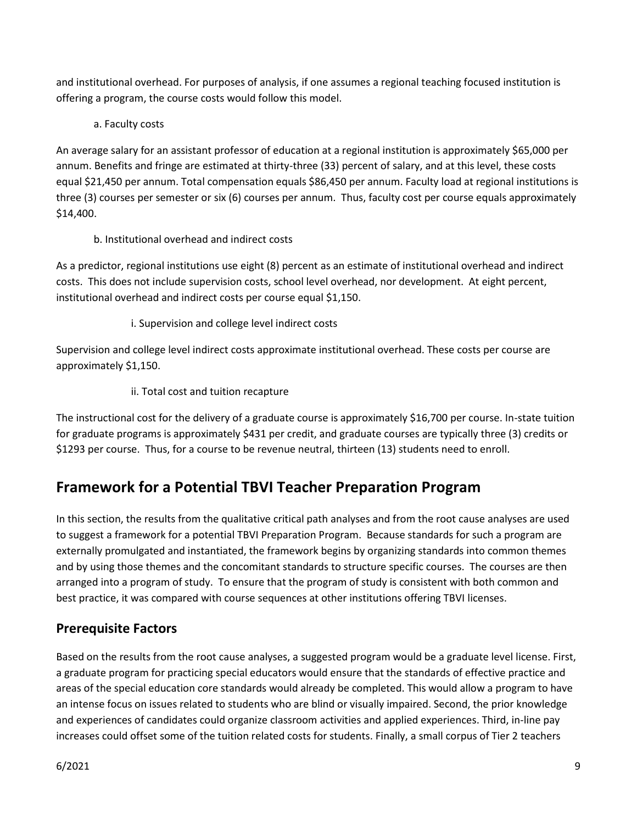and institutional overhead. For purposes of analysis, if one assumes a regional teaching focused institution is offering a program, the course costs would follow this model.

a. Faculty costs

An average salary for an assistant professor of education at a regional institution is approximately \$65,000 per annum. Benefits and fringe are estimated at thirty-three (33) percent of salary, and at this level, these costs equal \$21,450 per annum. Total compensation equals \$86,450 per annum. Faculty load at regional institutions is three (3) courses per semester or six (6) courses per annum. Thus, faculty cost per course equals approximately \$14,400.

b. Institutional overhead and indirect costs

As a predictor, regional institutions use eight (8) percent as an estimate of institutional overhead and indirect costs. This does not include supervision costs, school level overhead, nor development. At eight percent, institutional overhead and indirect costs per course equal \$1,150.

i. Supervision and college level indirect costs

Supervision and college level indirect costs approximate institutional overhead. These costs per course are approximately \$1,150.

ii. Total cost and tuition recapture

The instructional cost for the delivery of a graduate course is approximately \$16,700 per course. In-state tuition for graduate programs is approximately \$431 per credit, and graduate courses are typically three (3) credits or \$1293 per course. Thus, for a course to be revenue neutral, thirteen (13) students need to enroll.

## **Framework for a Potential TBVI Teacher Preparation Program**

In this section, the results from the qualitative critical path analyses and from the root cause analyses are used to suggest a framework for a potential TBVI Preparation Program. Because standards for such a program are externally promulgated and instantiated, the framework begins by organizing standards into common themes and by using those themes and the concomitant standards to structure specific courses. The courses are then arranged into a program of study. To ensure that the program of study is consistent with both common and best practice, it was compared with course sequences at other institutions offering TBVI licenses.

## **Prerequisite Factors**

Based on the results from the root cause analyses, a suggested program would be a graduate level license. First, a graduate program for practicing special educators would ensure that the standards of effective practice and areas of the special education core standards would already be completed. This would allow a program to have an intense focus on issues related to students who are blind or visually impaired. Second, the prior knowledge and experiences of candidates could organize classroom activities and applied experiences. Third, in-line pay increases could offset some of the tuition related costs for students. Finally, a small corpus of Tier 2 teachers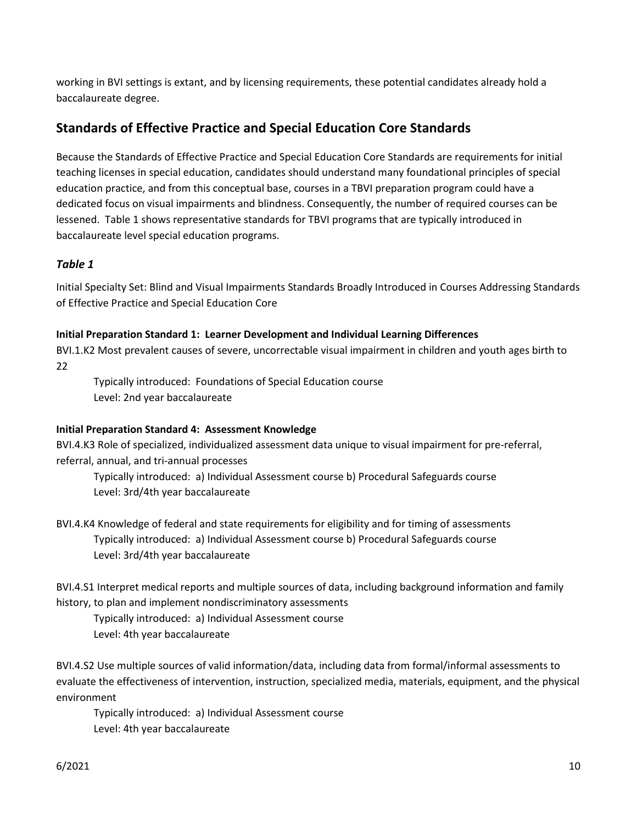working in BVI settings is extant, and by licensing requirements, these potential candidates already hold a baccalaureate degree.

## **Standards of Effective Practice and Special Education Core Standards**

Because the Standards of Effective Practice and Special Education Core Standards are requirements for initial teaching licenses in special education, candidates should understand many foundational principles of special education practice, and from this conceptual base, courses in a TBVI preparation program could have a dedicated focus on visual impairments and blindness. Consequently, the number of required courses can be lessened. Table 1 shows representative standards for TBVI programs that are typically introduced in baccalaureate level special education programs.

#### *Table 1*

Initial Specialty Set: Blind and Visual Impairments Standards Broadly Introduced in Courses Addressing Standards of Effective Practice and Special Education Core

#### **Initial Preparation Standard 1: Learner Development and Individual Learning Differences**

BVI.1.K2 Most prevalent causes of severe, uncorrectable visual impairment in children and youth ages birth to 22

Typically introduced: Foundations of Special Education course Level: 2nd year baccalaureate

#### **Initial Preparation Standard 4: Assessment Knowledge**

BVI.4.K3 Role of specialized, individualized assessment data unique to visual impairment for pre-referral, referral, annual, and tri-annual processes

Typically introduced: a) Individual Assessment course b) Procedural Safeguards course Level: 3rd/4th year baccalaureate

BVI.4.K4 Knowledge of federal and state requirements for eligibility and for timing of assessments Typically introduced: a) Individual Assessment course b) Procedural Safeguards course Level: 3rd/4th year baccalaureate

BVI.4.S1 Interpret medical reports and multiple sources of data, including background information and family history, to plan and implement nondiscriminatory assessments

Typically introduced: a) Individual Assessment course Level: 4th year baccalaureate

BVI.4.S2 Use multiple sources of valid information/data, including data from formal/informal assessments to evaluate the effectiveness of intervention, instruction, specialized media, materials, equipment, and the physical environment

Typically introduced: a) Individual Assessment course Level: 4th year baccalaureate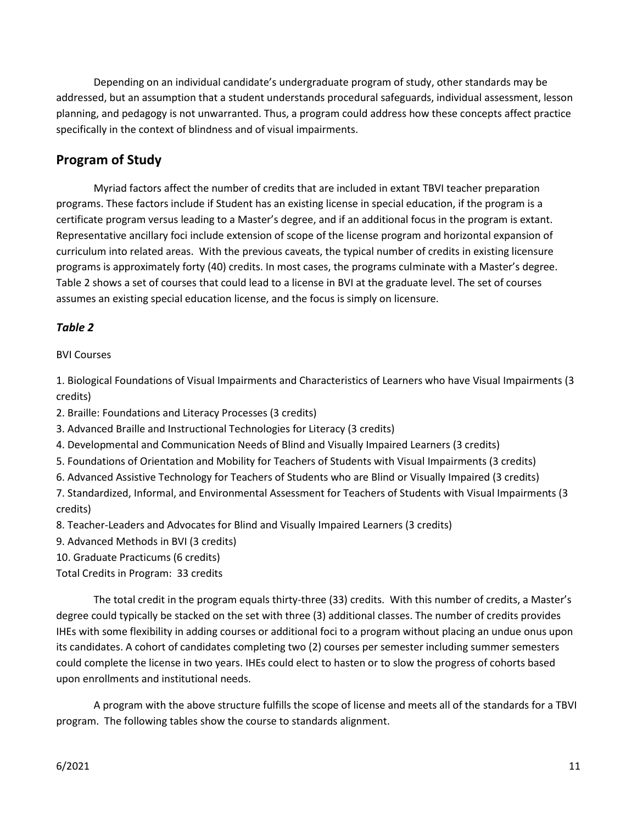Depending on an individual candidate's undergraduate program of study, other standards may be addressed, but an assumption that a student understands procedural safeguards, individual assessment, lesson planning, and pedagogy is not unwarranted. Thus, a program could address how these concepts affect practice specifically in the context of blindness and of visual impairments.

## **Program of Study**

Myriad factors affect the number of credits that are included in extant TBVI teacher preparation programs. These factors include if Student has an existing license in special education, if the program is a certificate program versus leading to a Master's degree, and if an additional focus in the program is extant. Representative ancillary foci include extension of scope of the license program and horizontal expansion of curriculum into related areas. With the previous caveats, the typical number of credits in existing licensure programs is approximately forty (40) credits. In most cases, the programs culminate with a Master's degree. Table 2 shows a set of courses that could lead to a license in BVI at the graduate level. The set of courses assumes an existing special education license, and the focus is simply on licensure.

#### *Table 2*

#### BVI Courses

1. Biological Foundations of Visual Impairments and Characteristics of Learners who have Visual Impairments (3 credits)

2. Braille: Foundations and Literacy Processes (3 credits)

3. Advanced Braille and Instructional Technologies for Literacy (3 credits)

4. Developmental and Communication Needs of Blind and Visually Impaired Learners (3 credits)

- 5. Foundations of Orientation and Mobility for Teachers of Students with Visual Impairments (3 credits)
- 6. Advanced Assistive Technology for Teachers of Students who are Blind or Visually Impaired (3 credits)

7. Standardized, Informal, and Environmental Assessment for Teachers of Students with Visual Impairments (3 credits)

8. Teacher-Leaders and Advocates for Blind and Visually Impaired Learners (3 credits)

9. Advanced Methods in BVI (3 credits)

10. Graduate Practicums (6 credits)

Total Credits in Program: 33 credits

The total credit in the program equals thirty-three (33) credits. With this number of credits, a Master's degree could typically be stacked on the set with three (3) additional classes. The number of credits provides IHEs with some flexibility in adding courses or additional foci to a program without placing an undue onus upon its candidates. A cohort of candidates completing two (2) courses per semester including summer semesters could complete the license in two years. IHEs could elect to hasten or to slow the progress of cohorts based upon enrollments and institutional needs.

A program with the above structure fulfills the scope of license and meets all of the standards for a TBVI program. The following tables show the course to standards alignment.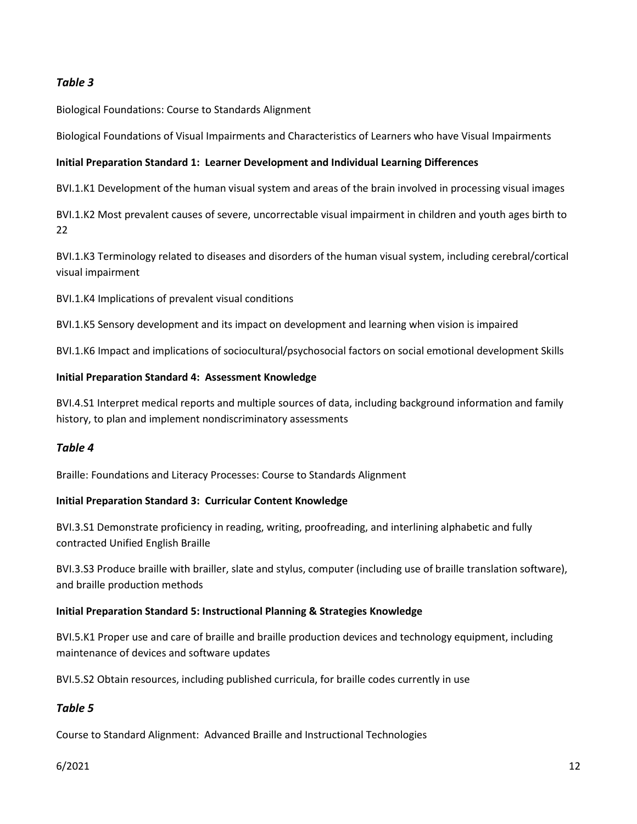#### *Table 3*

Biological Foundations: Course to Standards Alignment

Biological Foundations of Visual Impairments and Characteristics of Learners who have Visual Impairments

#### **Initial Preparation Standard 1: Learner Development and Individual Learning Differences**

BVI.1.K1 Development of the human visual system and areas of the brain involved in processing visual images

BVI.1.K2 Most prevalent causes of severe, uncorrectable visual impairment in children and youth ages birth to 22

BVI.1.K3 Terminology related to diseases and disorders of the human visual system, including cerebral/cortical visual impairment

BVI.1.K4 Implications of prevalent visual conditions

BVI.1.K5 Sensory development and its impact on development and learning when vision is impaired

BVI.1.K6 Impact and implications of sociocultural/psychosocial factors on social emotional development Skills

#### **Initial Preparation Standard 4: Assessment Knowledge**

BVI.4.S1 Interpret medical reports and multiple sources of data, including background information and family history, to plan and implement nondiscriminatory assessments

#### *Table 4*

Braille: Foundations and Literacy Processes: Course to Standards Alignment

#### **Initial Preparation Standard 3: Curricular Content Knowledge**

BVI.3.S1 Demonstrate proficiency in reading, writing, proofreading, and interlining alphabetic and fully contracted Unified English Braille

BVI.3.S3 Produce braille with brailler, slate and stylus, computer (including use of braille translation software), and braille production methods

#### **Initial Preparation Standard 5: Instructional Planning & Strategies Knowledge**

BVI.5.K1 Proper use and care of braille and braille production devices and technology equipment, including maintenance of devices and software updates

BVI.5.S2 Obtain resources, including published curricula, for braille codes currently in use

#### *Table 5*

Course to Standard Alignment: Advanced Braille and Instructional Technologies

#### 6/2021 12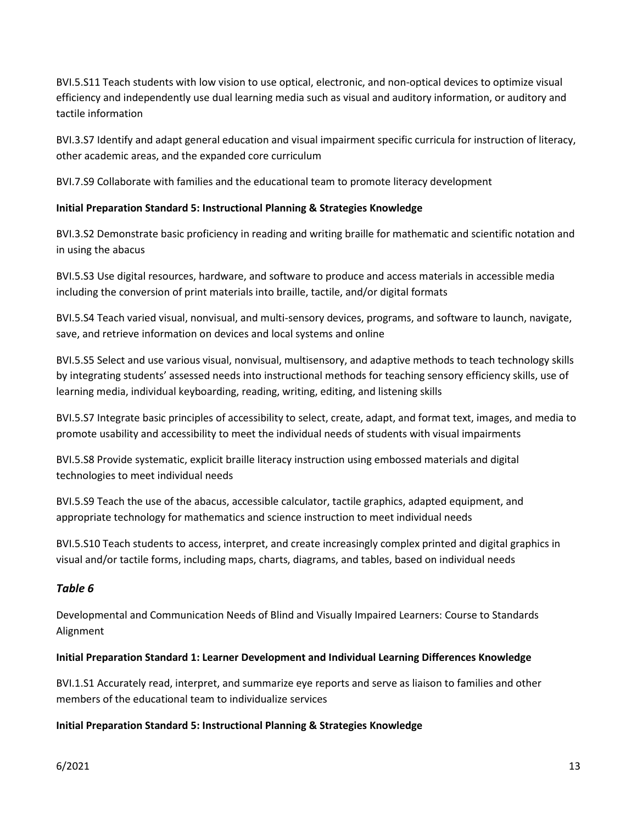BVI.5.S11 Teach students with low vision to use optical, electronic, and non-optical devices to optimize visual efficiency and independently use dual learning media such as visual and auditory information, or auditory and tactile information

BVI.3.S7 Identify and adapt general education and visual impairment specific curricula for instruction of literacy, other academic areas, and the expanded core curriculum

BVI.7.S9 Collaborate with families and the educational team to promote literacy development

#### **Initial Preparation Standard 5: Instructional Planning & Strategies Knowledge**

BVI.3.S2 Demonstrate basic proficiency in reading and writing braille for mathematic and scientific notation and in using the abacus

BVI.5.S3 Use digital resources, hardware, and software to produce and access materials in accessible media including the conversion of print materials into braille, tactile, and/or digital formats

BVI.5.S4 Teach varied visual, nonvisual, and multi-sensory devices, programs, and software to launch, navigate, save, and retrieve information on devices and local systems and online

BVI.5.S5 Select and use various visual, nonvisual, multisensory, and adaptive methods to teach technology skills by integrating students' assessed needs into instructional methods for teaching sensory efficiency skills, use of learning media, individual keyboarding, reading, writing, editing, and listening skills

BVI.5.S7 Integrate basic principles of accessibility to select, create, adapt, and format text, images, and media to promote usability and accessibility to meet the individual needs of students with visual impairments

BVI.5.S8 Provide systematic, explicit braille literacy instruction using embossed materials and digital technologies to meet individual needs

BVI.5.S9 Teach the use of the abacus, accessible calculator, tactile graphics, adapted equipment, and appropriate technology for mathematics and science instruction to meet individual needs

BVI.5.S10 Teach students to access, interpret, and create increasingly complex printed and digital graphics in visual and/or tactile forms, including maps, charts, diagrams, and tables, based on individual needs

#### *Table 6*

Developmental and Communication Needs of Blind and Visually Impaired Learners: Course to Standards Alignment

#### **Initial Preparation Standard 1: Learner Development and Individual Learning Differences Knowledge**

BVI.1.S1 Accurately read, interpret, and summarize eye reports and serve as liaison to families and other members of the educational team to individualize services

#### **Initial Preparation Standard 5: Instructional Planning & Strategies Knowledge**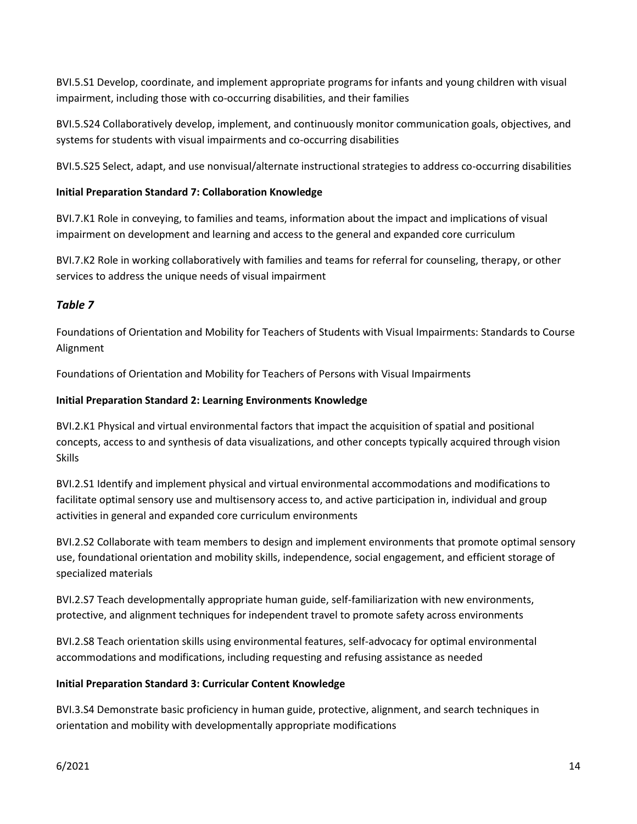BVI.5.S1 Develop, coordinate, and implement appropriate programs for infants and young children with visual impairment, including those with co-occurring disabilities, and their families

BVI.5.S24 Collaboratively develop, implement, and continuously monitor communication goals, objectives, and systems for students with visual impairments and co-occurring disabilities

BVI.5.S25 Select, adapt, and use nonvisual/alternate instructional strategies to address co-occurring disabilities

#### **Initial Preparation Standard 7: Collaboration Knowledge**

BVI.7.K1 Role in conveying, to families and teams, information about the impact and implications of visual impairment on development and learning and access to the general and expanded core curriculum

BVI.7.K2 Role in working collaboratively with families and teams for referral for counseling, therapy, or other services to address the unique needs of visual impairment

#### *Table 7*

Foundations of Orientation and Mobility for Teachers of Students with Visual Impairments: Standards to Course Alignment

Foundations of Orientation and Mobility for Teachers of Persons with Visual Impairments

#### **Initial Preparation Standard 2: Learning Environments Knowledge**

BVI.2.K1 Physical and virtual environmental factors that impact the acquisition of spatial and positional concepts, access to and synthesis of data visualizations, and other concepts typically acquired through vision Skills

BVI.2.S1 Identify and implement physical and virtual environmental accommodations and modifications to facilitate optimal sensory use and multisensory access to, and active participation in, individual and group activities in general and expanded core curriculum environments

BVI.2.S2 Collaborate with team members to design and implement environments that promote optimal sensory use, foundational orientation and mobility skills, independence, social engagement, and efficient storage of specialized materials

BVI.2.S7 Teach developmentally appropriate human guide, self-familiarization with new environments, protective, and alignment techniques for independent travel to promote safety across environments

BVI.2.S8 Teach orientation skills using environmental features, self-advocacy for optimal environmental accommodations and modifications, including requesting and refusing assistance as needed

#### **Initial Preparation Standard 3: Curricular Content Knowledge**

BVI.3.S4 Demonstrate basic proficiency in human guide, protective, alignment, and search techniques in orientation and mobility with developmentally appropriate modifications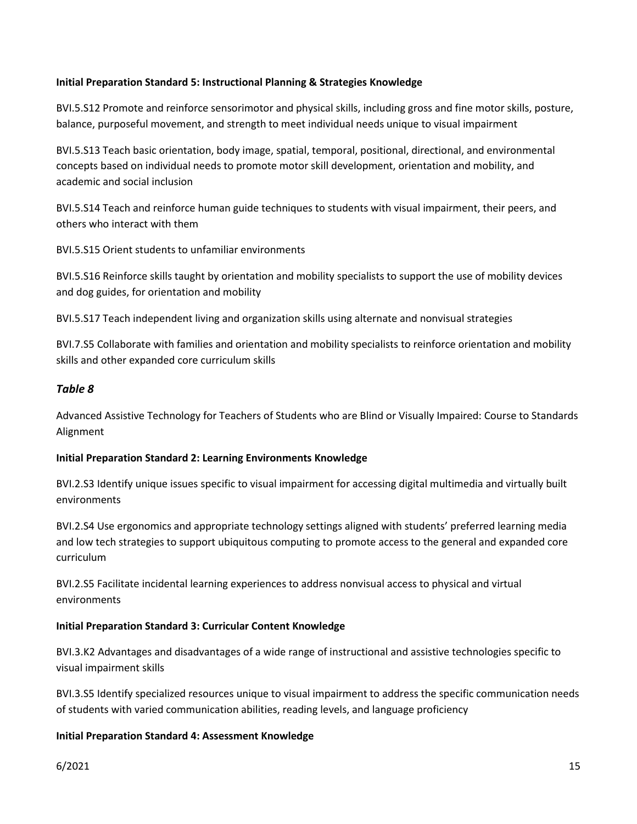#### **Initial Preparation Standard 5: Instructional Planning & Strategies Knowledge**

BVI.5.S12 Promote and reinforce sensorimotor and physical skills, including gross and fine motor skills, posture, balance, purposeful movement, and strength to meet individual needs unique to visual impairment

BVI.5.S13 Teach basic orientation, body image, spatial, temporal, positional, directional, and environmental concepts based on individual needs to promote motor skill development, orientation and mobility, and academic and social inclusion

BVI.5.S14 Teach and reinforce human guide techniques to students with visual impairment, their peers, and others who interact with them

BVI.5.S15 Orient students to unfamiliar environments

BVI.5.S16 Reinforce skills taught by orientation and mobility specialists to support the use of mobility devices and dog guides, for orientation and mobility

BVI.5.S17 Teach independent living and organization skills using alternate and nonvisual strategies

BVI.7.S5 Collaborate with families and orientation and mobility specialists to reinforce orientation and mobility skills and other expanded core curriculum skills

#### *Table 8*

Advanced Assistive Technology for Teachers of Students who are Blind or Visually Impaired: Course to Standards Alignment

#### **Initial Preparation Standard 2: Learning Environments Knowledge**

BVI.2.S3 Identify unique issues specific to visual impairment for accessing digital multimedia and virtually built environments

BVI.2.S4 Use ergonomics and appropriate technology settings aligned with students' preferred learning media and low tech strategies to support ubiquitous computing to promote access to the general and expanded core curriculum

BVI.2.S5 Facilitate incidental learning experiences to address nonvisual access to physical and virtual environments

#### **Initial Preparation Standard 3: Curricular Content Knowledge**

BVI.3.K2 Advantages and disadvantages of a wide range of instructional and assistive technologies specific to visual impairment skills

BVI.3.S5 Identify specialized resources unique to visual impairment to address the specific communication needs of students with varied communication abilities, reading levels, and language proficiency

#### **Initial Preparation Standard 4: Assessment Knowledge**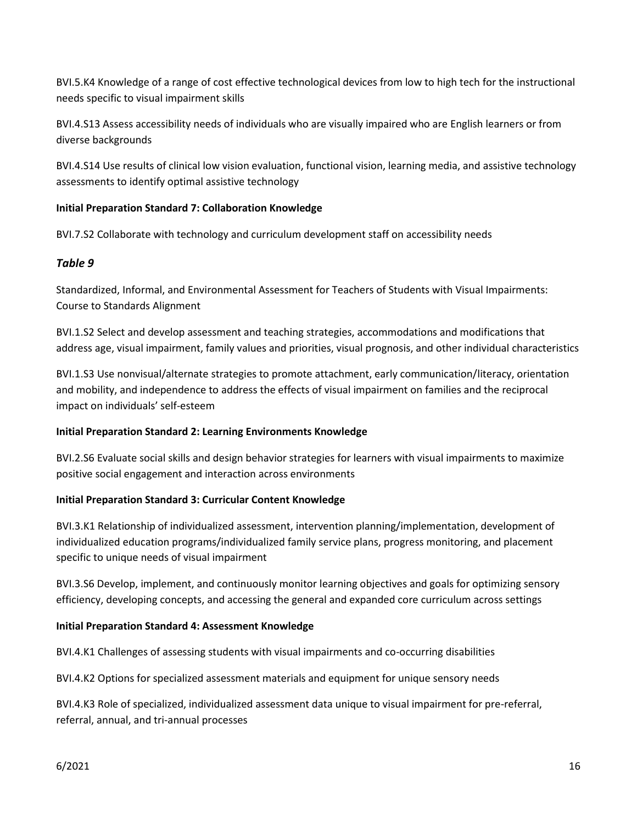BVI.5.K4 Knowledge of a range of cost effective technological devices from low to high tech for the instructional needs specific to visual impairment skills

BVI.4.S13 Assess accessibility needs of individuals who are visually impaired who are English learners or from diverse backgrounds

BVI.4.S14 Use results of clinical low vision evaluation, functional vision, learning media, and assistive technology assessments to identify optimal assistive technology

#### **Initial Preparation Standard 7: Collaboration Knowledge**

BVI.7.S2 Collaborate with technology and curriculum development staff on accessibility needs

#### *Table 9*

Standardized, Informal, and Environmental Assessment for Teachers of Students with Visual Impairments: Course to Standards Alignment

BVI.1.S2 Select and develop assessment and teaching strategies, accommodations and modifications that address age, visual impairment, family values and priorities, visual prognosis, and other individual characteristics

BVI.1.S3 Use nonvisual/alternate strategies to promote attachment, early communication/literacy, orientation and mobility, and independence to address the effects of visual impairment on families and the reciprocal impact on individuals' self-esteem

#### **Initial Preparation Standard 2: Learning Environments Knowledge**

BVI.2.S6 Evaluate social skills and design behavior strategies for learners with visual impairments to maximize positive social engagement and interaction across environments

#### **Initial Preparation Standard 3: Curricular Content Knowledge**

BVI.3.K1 Relationship of individualized assessment, intervention planning/implementation, development of individualized education programs/individualized family service plans, progress monitoring, and placement specific to unique needs of visual impairment

BVI.3.S6 Develop, implement, and continuously monitor learning objectives and goals for optimizing sensory efficiency, developing concepts, and accessing the general and expanded core curriculum across settings

#### **Initial Preparation Standard 4: Assessment Knowledge**

BVI.4.K1 Challenges of assessing students with visual impairments and co-occurring disabilities

BVI.4.K2 Options for specialized assessment materials and equipment for unique sensory needs

BVI.4.K3 Role of specialized, individualized assessment data unique to visual impairment for pre-referral, referral, annual, and tri-annual processes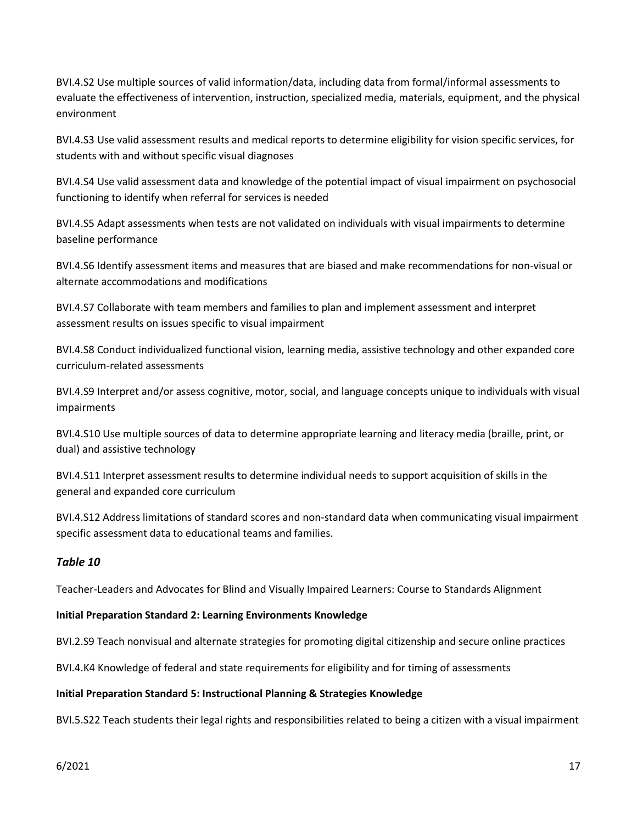BVI.4.S2 Use multiple sources of valid information/data, including data from formal/informal assessments to evaluate the effectiveness of intervention, instruction, specialized media, materials, equipment, and the physical environment

BVI.4.S3 Use valid assessment results and medical reports to determine eligibility for vision specific services, for students with and without specific visual diagnoses

BVI.4.S4 Use valid assessment data and knowledge of the potential impact of visual impairment on psychosocial functioning to identify when referral for services is needed

BVI.4.S5 Adapt assessments when tests are not validated on individuals with visual impairments to determine baseline performance

BVI.4.S6 Identify assessment items and measures that are biased and make recommendations for non-visual or alternate accommodations and modifications

BVI.4.S7 Collaborate with team members and families to plan and implement assessment and interpret assessment results on issues specific to visual impairment

BVI.4.S8 Conduct individualized functional vision, learning media, assistive technology and other expanded core curriculum-related assessments

BVI.4.S9 Interpret and/or assess cognitive, motor, social, and language concepts unique to individuals with visual impairments

BVI.4.S10 Use multiple sources of data to determine appropriate learning and literacy media (braille, print, or dual) and assistive technology

BVI.4.S11 Interpret assessment results to determine individual needs to support acquisition of skills in the general and expanded core curriculum

BVI.4.S12 Address limitations of standard scores and non-standard data when communicating visual impairment specific assessment data to educational teams and families.

#### *Table 10*

Teacher-Leaders and Advocates for Blind and Visually Impaired Learners: Course to Standards Alignment

#### **Initial Preparation Standard 2: Learning Environments Knowledge**

BVI.2.S9 Teach nonvisual and alternate strategies for promoting digital citizenship and secure online practices

BVI.4.K4 Knowledge of federal and state requirements for eligibility and for timing of assessments

#### **Initial Preparation Standard 5: Instructional Planning & Strategies Knowledge**

BVI.5.S22 Teach students their legal rights and responsibilities related to being a citizen with a visual impairment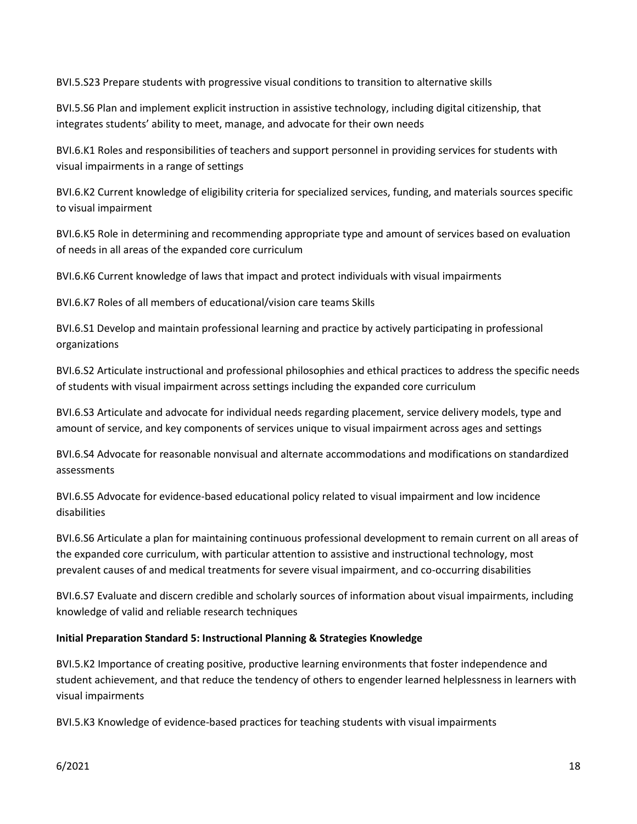BVI.5.S23 Prepare students with progressive visual conditions to transition to alternative skills

BVI.5.S6 Plan and implement explicit instruction in assistive technology, including digital citizenship, that integrates students' ability to meet, manage, and advocate for their own needs

BVI.6.K1 Roles and responsibilities of teachers and support personnel in providing services for students with visual impairments in a range of settings

BVI.6.K2 Current knowledge of eligibility criteria for specialized services, funding, and materials sources specific to visual impairment

BVI.6.K5 Role in determining and recommending appropriate type and amount of services based on evaluation of needs in all areas of the expanded core curriculum

BVI.6.K6 Current knowledge of laws that impact and protect individuals with visual impairments

BVI.6.K7 Roles of all members of educational/vision care teams Skills

BVI.6.S1 Develop and maintain professional learning and practice by actively participating in professional organizations

BVI.6.S2 Articulate instructional and professional philosophies and ethical practices to address the specific needs of students with visual impairment across settings including the expanded core curriculum

BVI.6.S3 Articulate and advocate for individual needs regarding placement, service delivery models, type and amount of service, and key components of services unique to visual impairment across ages and settings

BVI.6.S4 Advocate for reasonable nonvisual and alternate accommodations and modifications on standardized assessments

BVI.6.S5 Advocate for evidence-based educational policy related to visual impairment and low incidence disabilities

BVI.6.S6 Articulate a plan for maintaining continuous professional development to remain current on all areas of the expanded core curriculum, with particular attention to assistive and instructional technology, most prevalent causes of and medical treatments for severe visual impairment, and co-occurring disabilities

BVI.6.S7 Evaluate and discern credible and scholarly sources of information about visual impairments, including knowledge of valid and reliable research techniques

#### **Initial Preparation Standard 5: Instructional Planning & Strategies Knowledge**

BVI.5.K2 Importance of creating positive, productive learning environments that foster independence and student achievement, and that reduce the tendency of others to engender learned helplessness in learners with visual impairments

BVI.5.K3 Knowledge of evidence-based practices for teaching students with visual impairments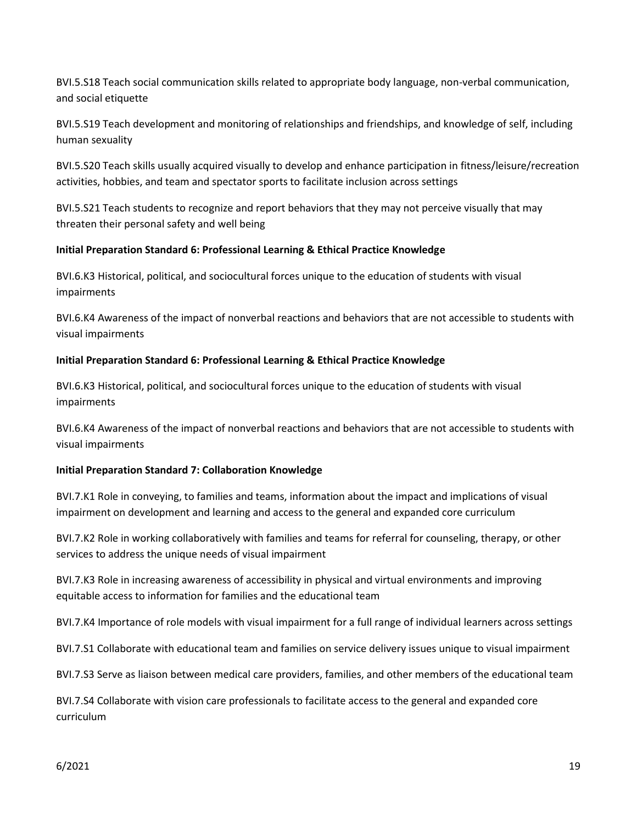BVI.5.S18 Teach social communication skills related to appropriate body language, non-verbal communication, and social etiquette

BVI.5.S19 Teach development and monitoring of relationships and friendships, and knowledge of self, including human sexuality

BVI.5.S20 Teach skills usually acquired visually to develop and enhance participation in fitness/leisure/recreation activities, hobbies, and team and spectator sports to facilitate inclusion across settings

BVI.5.S21 Teach students to recognize and report behaviors that they may not perceive visually that may threaten their personal safety and well being

#### **Initial Preparation Standard 6: Professional Learning & Ethical Practice Knowledge**

BVI.6.K3 Historical, political, and sociocultural forces unique to the education of students with visual impairments

BVI.6.K4 Awareness of the impact of nonverbal reactions and behaviors that are not accessible to students with visual impairments

#### **Initial Preparation Standard 6: Professional Learning & Ethical Practice Knowledge**

BVI.6.K3 Historical, political, and sociocultural forces unique to the education of students with visual impairments

BVI.6.K4 Awareness of the impact of nonverbal reactions and behaviors that are not accessible to students with visual impairments

#### **Initial Preparation Standard 7: Collaboration Knowledge**

BVI.7.K1 Role in conveying, to families and teams, information about the impact and implications of visual impairment on development and learning and access to the general and expanded core curriculum

BVI.7.K2 Role in working collaboratively with families and teams for referral for counseling, therapy, or other services to address the unique needs of visual impairment

BVI.7.K3 Role in increasing awareness of accessibility in physical and virtual environments and improving equitable access to information for families and the educational team

BVI.7.K4 Importance of role models with visual impairment for a full range of individual learners across settings

BVI.7.S1 Collaborate with educational team and families on service delivery issues unique to visual impairment

BVI.7.S3 Serve as liaison between medical care providers, families, and other members of the educational team

BVI.7.S4 Collaborate with vision care professionals to facilitate access to the general and expanded core curriculum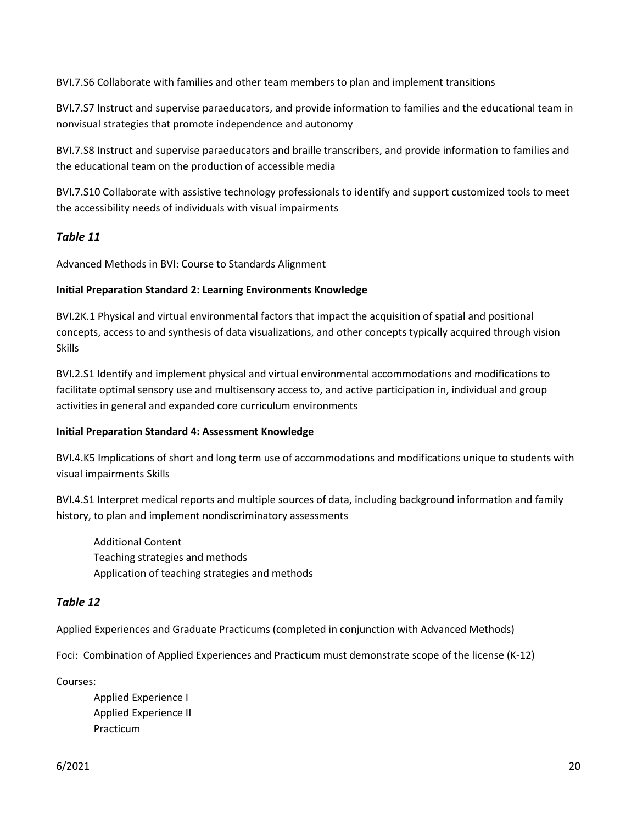BVI.7.S6 Collaborate with families and other team members to plan and implement transitions

BVI.7.S7 Instruct and supervise paraeducators, and provide information to families and the educational team in nonvisual strategies that promote independence and autonomy

BVI.7.S8 Instruct and supervise paraeducators and braille transcribers, and provide information to families and the educational team on the production of accessible media

BVI.7.S10 Collaborate with assistive technology professionals to identify and support customized tools to meet the accessibility needs of individuals with visual impairments

#### *Table 11*

Advanced Methods in BVI: Course to Standards Alignment

#### **Initial Preparation Standard 2: Learning Environments Knowledge**

BVI.2K.1 Physical and virtual environmental factors that impact the acquisition of spatial and positional concepts, access to and synthesis of data visualizations, and other concepts typically acquired through vision Skills

BVI.2.S1 Identify and implement physical and virtual environmental accommodations and modifications to facilitate optimal sensory use and multisensory access to, and active participation in, individual and group activities in general and expanded core curriculum environments

#### **Initial Preparation Standard 4: Assessment Knowledge**

BVI.4.K5 Implications of short and long term use of accommodations and modifications unique to students with visual impairments Skills

BVI.4.S1 Interpret medical reports and multiple sources of data, including background information and family history, to plan and implement nondiscriminatory assessments

Additional Content Teaching strategies and methods Application of teaching strategies and methods

#### *Table 12*

Applied Experiences and Graduate Practicums (completed in conjunction with Advanced Methods)

Foci: Combination of Applied Experiences and Practicum must demonstrate scope of the license (K-12)

Courses:

Applied Experience I Applied Experience II Practicum